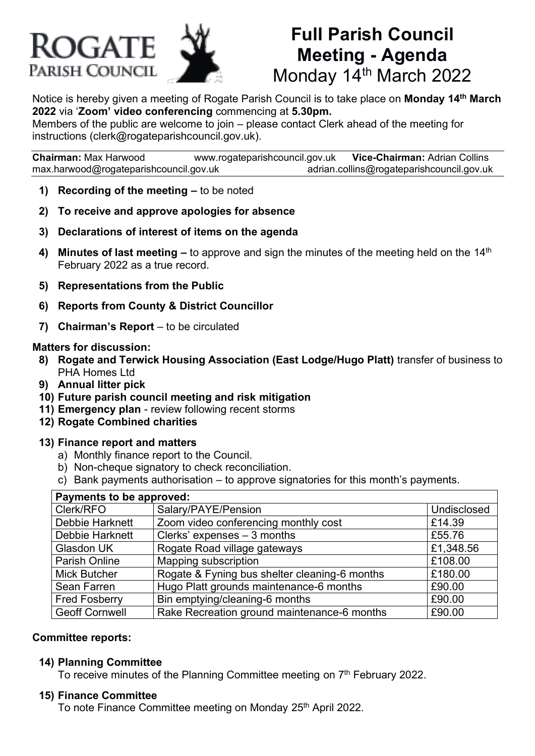# **ROGATE** PARISH COUNCIL



# **Full Parish Council Meeting - Agenda** Monday 14th March 2022

Notice is hereby given a meeting of Rogate Parish Council is to take place on **Monday 14th March 2022** via '**Zoom' video conferencing** commencing at **5.30pm.**

Members of the public are welcome to join – please contact Clerk ahead of the meeting for instructions (clerk@rogateparishcouncil.gov.uk).

**Chairman:** Max Harwood [www.rogateparishcouncil.gov.uk](http://www.rogateparishcouncil.gov.uk/) **Vice-Chairman:** Adrian Collins [max.harwood@rogateparishcouncil.gov.uk](mailto:max.harwood@rogateparishcouncil.gov.uk) [adrian.collins@rogateparishcouncil.gov.uk](mailto:adrian.collins@rogateparishcouncil.gov.uk)

- **1) Recording of the meeting –** to be noted
- **2) To receive and approve apologies for absence**
- **3) Declarations of interest of items on the agenda**
- **4) Minutes of last meeting –** to approve and sign the minutes of the meeting held on the 14<sup>th</sup> February 2022 as a true record.
- **5) Representations from the Public**
- **6) Reports from County & District Councillor**
- **7) Chairman's Report** to be circulated

#### **Matters for discussion:**

- **8) Rogate and Terwick Housing Association (East Lodge/Hugo Platt)** transfer of business to PHA Homes Ltd
- **9) Annual litter pick**
- **10) Future parish council meeting and risk mitigation**
- **11) Emergency plan** review following recent storms
- **12) Rogate Combined charities**

#### **13) Finance report and matters**

- a) Monthly finance report to the Council.
- b) Non-cheque signatory to check reconciliation.
- c) Bank payments authorisation to approve signatories for this month's payments.

| Payments to be approved: |                                               |             |
|--------------------------|-----------------------------------------------|-------------|
| Clerk/RFO                | Salary/PAYE/Pension                           | Undisclosed |
| Debbie Harknett          | Zoom video conferencing monthly cost          | £14.39      |
| Debbie Harknett          | Clerks' expenses $-3$ months                  | £55.76      |
| Glasdon UK               | Rogate Road village gateways                  | £1,348.56   |
| <b>Parish Online</b>     | Mapping subscription                          | £108.00     |
| <b>Mick Butcher</b>      | Rogate & Fyning bus shelter cleaning-6 months | £180.00     |
| Sean Farren              | Hugo Platt grounds maintenance-6 months       | £90.00      |
| <b>Fred Fosberry</b>     | Bin emptying/cleaning-6 months                | £90.00      |
| <b>Geoff Cornwell</b>    | Rake Recreation ground maintenance-6 months   | £90.00      |

#### **Committee reports:**

#### **14) Planning Committee**

To receive minutes of the Planning Committee meeting on 7<sup>th</sup> February 2022.

#### **15) Finance Committee**

To note Finance Committee meeting on Monday 25<sup>th</sup> April 2022.